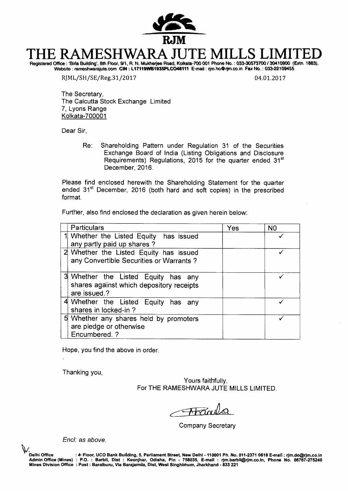

# **THE RAMESHWARA JUTE MILLS LIMITED**  Registered Office : Shia Building', 8th Floor, 9/1, R. N. Mukherjee Road, Kolkata-700 001 Phone No. : 033-30573700130410900 (Extn. 1883),

Website : rameshwarajute.com CIN : L17119WB1935PLCO46111 E-mail : rjm.ho@rjm.co.in Fax No. : 033-22109455

RJML/SH/SE/Reg.31/2017 04.01.2017

The Secretary, The Calcutta Stock Exchange Limited 7, Lyons Range Kolkata-700001

Dear Sir,

Re: Shareholding Pattern under Regulation 31 of the Securities Exchange Board of India (Listing Obligations and Disclosure Requirements) Regulations, 2015 for the quarter ended 31<sup>st</sup><br>December 2016.

Please find enclosed herewith the Shareholding Statement for the quarter ended 31<sup>st</sup> December, 2016 (both hard and soft copies) in the prescribed format.

Further, also find enclosed the declaration as given herein below:

| Particulars                                                                                     | Yes | N <sub>0</sub> |
|-------------------------------------------------------------------------------------------------|-----|----------------|
| Whether the Listed Equity has issued<br>any partly paid up shares?                              |     |                |
| 2 Whether the Listed Equity has issued<br>any Convertible Securities or Warrants?               |     |                |
| 3 Whether the Listed Equity has any<br>shares against which depository receipts<br>are issued.? |     |                |
| 4 Whether the Listed Equity has any<br>shares in locked-in?                                     |     |                |
| 5 Whether any shares held by promoters<br>are pledge or otherwise<br>Encumbered. ?              |     |                |

Hope, you find the above in order.

Thanking you,

Yours faithfully, For THE RAMESHWARA JUTE MILLS LIMITED.

 $A$ *trinu* 

Company Secretary

End: as above.

**'Delhi Office : 4- Floor, UCO Bank Building, 5, Parliament Street, New Delhi - 110001 Ph. No. 011-2371 0616 E-mail : rjm.do@rjm.co.in**  Admin Office (Mines) : P.O. : Barbil, Dist : Keonjhar, Odisha, Pin - 758035, E-mall : rjm.barbll@rjm.co.ln, Phone No. 06767-275240<br>Mines Division Office :Post:Baraiburu, Via Barajamda, Dist, West Singhbhum, Jharkhand - 833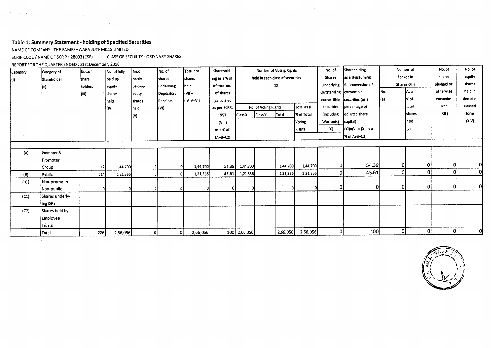## **Table 1: Summery Statement - holding of Specified Securities**

NAME OF COMPANY : THE RAMESHWARA JUTE MILLS LIMITED

SCRIP CODE / NAME OF SCRIP : 28093 (CSE) CLASS OF SECURITY : ORDINARY SHARES

 $\label{eq:2.1} \frac{1}{\sqrt{2}}\int_{\mathbb{R}^3}\frac{1}{\sqrt{2}}\left(\frac{1}{\sqrt{2}}\right)^2\frac{1}{\sqrt{2}}\left(\frac{1}{\sqrt{2}}\right)^2\frac{1}{\sqrt{2}}\left(\frac{1}{\sqrt{2}}\right)^2.$ 

REPORT FOR THE QUARTER ENDED : 31st December, 2016

| Category | Category of     | Nos.of          | No. of fully | No.of         | No. of     | Total nos.     | Sharehold-    |                |                                  | <b>Number of Voting Rights</b> |               | No. of                  | Shareholding        |           | Number of     | No. of     | No. of   |
|----------|-----------------|-----------------|--------------|---------------|------------|----------------|---------------|----------------|----------------------------------|--------------------------------|---------------|-------------------------|---------------------|-----------|---------------|------------|----------|
| JO.      | Shareholder     | share           | paid up      | partly        | Ishares    | <b>Ishares</b> | ing as a % of |                | held in each class of securities |                                |               | <b>Shares</b>           | as a % assuming     | Locked in |               | shares     | equity   |
|          | 70              | holders         | equity       | paid-up       | underlying | held           | of total no.  |                |                                  | $( X\rangle)$                  |               | Underlying              | full conversion of  |           | Shares (XII)  | pledged or | shares   |
|          |                 | (III)           | shares       | lequty        | Depository | $ (VII)=$      | of shares     |                |                                  |                                |               | Outstanding convertible |                     | No.       | As a          | otherwise  | held in  |
|          |                 |                 | held         | <b>shares</b> | Receipts   | (IV+V+VI)      | (calculated   |                |                                  |                                |               | convertible             | securities (as a    | [(a)      | l% of         | encumbe-   | demate-  |
|          |                 |                 | (IV)         | held          | (VI)       |                | as per SCRR,  |                | No. of Voting Rights             |                                | Total as a    | securities              | percentage of       |           | total         | rred       | rialised |
|          |                 |                 |              | (V)           |            |                | 1957)         | <b>Class X</b> | Class Y                          | Total                          | % of Total    | (including              | ddiluted share      |           | <b>shares</b> | (X  1)     | form     |
|          |                 |                 |              |               |            |                | (VIII)        |                |                                  |                                | Voting        | Warrants)               | capital)            |           | held          |            | (XIV)    |
|          |                 |                 |              |               |            |                | as a % of     |                |                                  |                                | <b>Rights</b> | (X)                     | (XI)=(VII)+(X) as a |           | (b)           |            |          |
|          |                 |                 |              |               |            |                | $(A+B+C2)$    |                |                                  |                                |               |                         | % of A+B+C2)        |           |               |            |          |
|          |                 |                 |              |               |            |                |               |                |                                  |                                |               |                         |                     |           |               |            |          |
| (A)      | Promoter &      |                 |              |               |            |                |               |                |                                  |                                |               |                         |                     |           |               |            |          |
|          | Promoter        |                 |              |               |            |                |               |                |                                  |                                |               |                         |                     |           |               |            |          |
|          | Group           | 12 <sup>1</sup> | 1,44,700     |               |            | 1,44,700       | 54.39         | 1,44,700       |                                  | 1,44,700                       | 1,44,700      | 0.                      | 54.39               | οJ        | 0             | 01         | 0        |
| (B)      | Public          | 214             | 1,21,356     | οι            |            | 1,21,356       | 45.61         | 1,21,356       |                                  | 1,21,356                       | 1,21,356      | ΩI                      | 45.61               | οI        | $\mathbf{0}$  | οI         | [0]      |
| (C)      | Non-promoter -  |                 |              |               |            |                |               |                |                                  |                                |               |                         |                     |           |               |            |          |
|          | Non-public      |                 |              |               |            |                | $\Omega$      |                |                                  | n,                             |               | 01                      | 0                   | 0         | 0             | οĮ         | 0        |
| (C1)     | Shares underly- |                 |              |               |            |                |               |                |                                  |                                |               |                         |                     |           |               |            |          |
|          | ing DRs         |                 |              |               |            |                |               |                |                                  |                                |               |                         |                     |           |               |            |          |
| (C2)     | Shares held by  |                 |              |               |            |                |               |                |                                  |                                |               |                         |                     |           |               |            |          |
|          | Employee        |                 |              |               |            |                |               |                |                                  |                                |               |                         |                     |           |               |            |          |
|          | Trusts          |                 |              |               |            |                |               |                |                                  |                                |               |                         |                     |           |               |            |          |
|          | Total           | 226             | 2,66,056     |               | οl         | 2,66,056       |               | 100 2,66,056   |                                  | 2,66,056                       | 2,66,056      | οI                      | 100                 | οl        | -0            | 0          | 0l       |

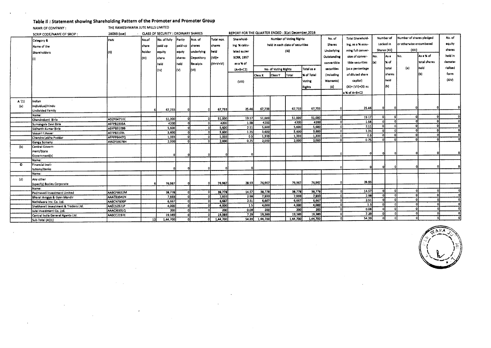#### **Table II : Statement showing Shareholding Pattern of the Promoter and Promoter Group**

NAMR OF COMPANY : THE RAMESHWARA JUTE MILLS LIMITED

**CLASS OF SECURITY : ORDINARY SHARES** SCRIP CODE/NAME OF SRCIP : **4.01.07714.3.G.,**  No. of Number of Voting Rights No. of Total Sharehold-Number of Number of shares pledged PAN Total nos. Sharehold-No.of No. of fully Partly Nos. of Category & Locked in or otherwise encumbered equity log, as a % assupaid-up held in each class of securities Shares share paid up shares shares ing % calcu-Name of the ming full conver-Shares (XII) (XIII) shares  $(i)$ Underlying holder underlying held lated as per Shareholders (II) equity equty As a No. As a % of held In SCRR, 1957 Outstanding sion of conver-No. (VII)= (III) share shares Depository lm. X of total shares demateconvertible tibia securities (a) (1V+V+VI) as a % of held held Receipts total (a) held rlallsed  $\overline{\phantom{a}}$ No. of Voting Rights Total as a securities (as a percentage (IV) lw (VI) (A+B+C2) of diluted share shares (b) form Class X Class Y Total **X** of Total (including held (XIV) Voting Warrants) capital) (VIII) lљı Rights  $(x)$  $(Xi)$ = (VII)+ $(X)$  as a % of A+B+C2 A '(1) Indian Individual/Hindu (a) Undivided Family 6 67,733 0 0 67,733 25.46 67,733 67,733 67,733 0 25.46 0 0 0 0 0 Name: Chandrakant Birla ADZPB4710C 51,000 0 0 51,000 19.17 51,000 51,000 51,000 0 19.17 0 0 0 0 0 المسموع المسلم المسلم المسلم المسلم المسلم المسلم المسلم المسلم المسلم المسلم المسلم المسلم المسلم المسلم المسلم ال<br>المسلم المسلم المسلم المسلم المسلم المسلم المسلم المسلم المسلم المسلم المسلم المسلم المسلم المسلم المسلم Sidharth Kumar Birla AEKPB3109B 5,600 0 0 5,600 2.11 5,600 5,600 5,600 0 2.11 0 0 0 0 0 المسابق المسابق المسابق المسابق المسابق المسابق المسابق المسابق المسابق المسابق المسابق المسابق المسابق المسابق<br>المسابق المسابق المسابق المسابق المسابق المسابق المسابق المسابق المسابق المسابق المسابق المسابق المسابق المسا version the secondar and the change of the change of the change of the change of the change of the change of the change of the change of the change of the change of the change of the change of the change of the change of t Ganga Somany AWZP59078H 2,000 0 0 2,000 0.75 2,000 2,000 2,000 0 0.75 0 0 0 0 0 (b) Central Government/State Government(s) 0 0 0 0 0 0 0 0 0 0 0 0 Name: © Financial Insti-<u>tutions/Banks (assessment assessment and the control of the control of the control of the control of the control of the control of the control of the control of the control of the control of the control of the control of </u> Name: (d) Any other (specify) Bodies Corporate 6 76,967 0 0 76,967 28.93 76,967 76,967 76,967 0 28.93 Name: Padmavati Investment Limited AABCP8632M 38,778 0 0 38,778 14.57 38,778 38,778 38,778 0 14.57 39,178 0 14.57 0 0 ال المجاز المجازي والمسلمي المجازي المجازي المجازي المجازي المجازي المجازي المجازي المجازي المجازي المجازي المجازي المجازي المجازي المجازي المجازي المجازي المجازي المجازي المجازي المجازي المجازي المجازي المجازي المجازي ال Nathdwara Inv. Co. Ltd. AABCN7830P 1 6,667 0 0 6,667 1 2.51 6,667 1 6,667 6,667 6,667 9,667 0 2.51 0 0 2.51 0 0 Shekhavatl Investment & Traders Ltd. AAECS2321P 4,000 0 0 4,000 1.5 4,000 4,000 4,000 0 1.5 0 0 0 0 0 Jute Investment Co. Ltd. AAACJ6331Q 200 0 0 200 0.08 200 200 200 0 0.08 0 0 0 0 0 المال المسابق المسابق المسابق المسابق المسابق المسابق المسابق المسابق المسابق المسابق المسابق المسابق المسابق المسابق المسابق المسابق المسابق المسابق المسابق المسابق المسابق المسابق المسابق المسابق المسابق المسابق المسابق الله المسابق المسابق المسابق المسابق المسابق المسابق المسابق المسابق المسابق المسابق المسابق المسابق المسابق المسابق المسابق المسابق المسابق المسابق المسابق المسابق المسابق المسابق المسابق المسابق المسابق المسابق المسابق



**REPORT FOR THE QUARTER EI**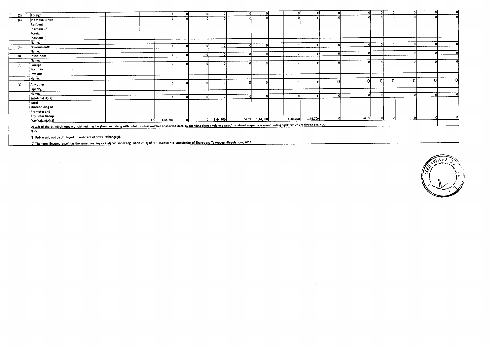|           |                                                                                                                                                                                                                     |    |          |  |          |                                                  |                |          |              | $\Omega$ | $\Omega$     |   |   |    |
|-----------|---------------------------------------------------------------------------------------------------------------------------------------------------------------------------------------------------------------------|----|----------|--|----------|--------------------------------------------------|----------------|----------|--------------|----------|--------------|---|---|----|
| (2)       | Foreign                                                                                                                                                                                                             |    |          |  |          |                                                  |                |          |              |          |              |   |   |    |
| (a)       | Individuals (Non-                                                                                                                                                                                                   |    |          |  |          |                                                  |                |          |              |          |              |   |   |    |
|           | Resident                                                                                                                                                                                                            |    |          |  |          |                                                  |                |          |              |          |              |   |   |    |
|           | individuals/                                                                                                                                                                                                        |    |          |  |          |                                                  |                |          |              |          |              |   |   |    |
|           | Foreign                                                                                                                                                                                                             |    |          |  |          |                                                  |                |          |              |          |              |   |   |    |
|           | Individuals)                                                                                                                                                                                                        |    |          |  |          |                                                  |                |          |              |          |              |   |   |    |
|           | Name:                                                                                                                                                                                                               |    |          |  |          |                                                  |                |          |              | o        | -01          |   |   |    |
| (b)       | Government(s)                                                                                                                                                                                                       |    |          |  |          |                                                  |                |          |              |          |              |   |   |    |
|           | Name:                                                                                                                                                                                                               |    |          |  |          |                                                  |                |          |              | n        | $\mathbf{r}$ |   |   |    |
| $\bullet$ | Institutions                                                                                                                                                                                                        |    |          |  |          |                                                  |                |          |              |          |              |   |   |    |
|           | Name:                                                                                                                                                                                                               |    |          |  |          |                                                  |                |          |              |          |              |   |   |    |
| (d)       | Foreign                                                                                                                                                                                                             |    |          |  |          |                                                  |                |          |              |          |              |   |   |    |
|           | Portfolio                                                                                                                                                                                                           |    |          |  |          |                                                  |                |          |              |          |              |   |   |    |
|           | Investor                                                                                                                                                                                                            |    |          |  |          |                                                  |                |          |              |          |              |   |   |    |
|           | Name:                                                                                                                                                                                                               |    |          |  |          |                                                  |                |          |              |          | Ωl           | n |   | οı |
| (e)       | Any other                                                                                                                                                                                                           |    |          |  |          |                                                  |                |          |              | οI       |              |   |   |    |
|           | (specify)                                                                                                                                                                                                           |    |          |  |          |                                                  |                |          |              |          |              |   |   |    |
|           | Mame:                                                                                                                                                                                                               |    |          |  |          |                                                  |                |          | $\mathbf{a}$ | $\Omega$ | -0           |   | റ |    |
|           | Sub-Total (A)(2)                                                                                                                                                                                                    |    |          |  |          |                                                  |                |          |              |          |              |   |   |    |
|           | Total                                                                                                                                                                                                               |    |          |  |          |                                                  |                |          |              |          |              |   |   |    |
|           | Shareholding of                                                                                                                                                                                                     |    |          |  |          |                                                  |                |          |              |          |              |   |   |    |
|           | Promoter and                                                                                                                                                                                                        |    |          |  |          |                                                  |                |          |              |          |              |   |   |    |
|           | <b>Promoter Group</b>                                                                                                                                                                                               |    |          |  |          |                                                  |                |          |              |          |              |   |   |    |
|           | $(A)=(A)(1)+(A)(2)$                                                                                                                                                                                                 | 12 | 1,44,700 |  | 1,44,700 |                                                  | 54.39 1,44,700 | 1,44,700 | 1,44,700     | 54.391   |              |   |   |    |
|           | Details of Shares which remain unclaimed may be given hear along with details such as number of shareholders, outstanding shares held in demat/unclaimed suspense account, voting rights which are frozen etc. N.A. |    |          |  |          |                                                  |                |          |              |          |              |   |   |    |
|           | Note:                                                                                                                                                                                                               |    |          |  |          |                                                  |                |          |              |          |              |   |   |    |
|           |                                                                                                                                                                                                                     |    |          |  |          |                                                  |                |          |              |          |              |   |   |    |
|           | (1) PAN would not be displayed on webhsite of Stock Exchange(s).                                                                                                                                                    |    |          |  |          |                                                  |                |          |              |          |              |   |   |    |
|           |                                                                                                                                                                                                                     |    |          |  |          | $\cdots$ . The contract of $\cdots$ and $\cdots$ |                |          |              |          |              |   |   |    |

 $\sim 10^{-1}$ 

(2) The term 'Encumbrance' has the same meaning as assigned under regulation 28(3) of SRI (Substantial Acquisition of Shares and Takeovers) Regulations, 2011.

 $\sim$ 

 $\sim 10^7$ 

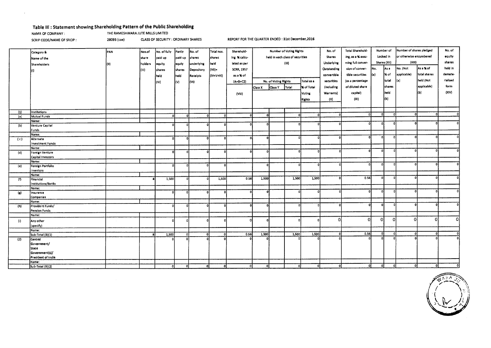### **Table ill : Statement showing Shareholding Pattern of the Public Shareholding**

NAMR OF COMPANY : THE RAMESHWARA JUTE MILLS LIMITED

SCRIP CODE/NAME OF SRCIP : 28093 (cse) CLASS OF SECURITY : ORDINARY SHARES REPORT FOR THE QUARTER ENDED : 31st December,2016

|                           |                                      |      |         |              |              |                   |              |                   | <b>Number of Voting Rights</b> |                      |                                  | Total Sharehold-  | Number of     |                   | Number of shares pledged |              | No. of                  |              |              |
|---------------------------|--------------------------------------|------|---------|--------------|--------------|-------------------|--------------|-------------------|--------------------------------|----------------------|----------------------------------|-------------------|---------------|-------------------|--------------------------|--------------|-------------------------|--------------|--------------|
|                           | Category &                           | PAN  | Nos.of  | No. of fully | Partly       | No. of            | Total nos.   | Sharehold-        |                                |                      |                                  |                   | No. of        |                   |                          |              |                         |              |              |
|                           | Name of the                          |      | share   | paid up      | paid up      | shares            | shares       | ing % calcu-      |                                |                      | held in each class of securities |                   | <b>Shares</b> | ing, as a % assu- |                          | Locked in    | or otherwise encumbered |              | equity       |
|                           | <b>Shareholders</b>                  | (II) | holders | equity       | lequty       | <b>underlying</b> | held         | lated as per      |                                | (iX)                 |                                  |                   | Underlying    | ming full conver- |                          | 5hares (XII) | (XIII)                  |              | shares       |
|                           |                                      |      | (III)   | shares       | shares       | Depository        | l(VII)=      | <b>SCRR, 1957</b> |                                |                      |                                  |                   | Outstanding   | sion of conver-   | No.                      | lAs a        | No. (Not                | As a % of    | held in      |
|                           | 10).                                 |      |         |              |              |                   |              |                   |                                |                      |                                  |                   | convertible   | tible securities  | $\vert$ (a)              | l% of        | applicable)             | total shares | demate-      |
|                           |                                      |      |         | held         | held.        | Receipts          | (IV+V+VI)    | as a % of         |                                | No. of Voting Rights |                                  |                   |               |                   |                          |              |                         |              |              |
|                           |                                      |      |         | (IV)         | (V)          | (V)               |              | $(A + B + C2)$    |                                |                      |                                  | Total as a        | securities    | (as a percentage  |                          | total        | (a)                     | heid (Not    | rlalised     |
|                           |                                      |      |         |              |              |                   |              |                   | Class X                        | Class Y              | Total                            | <b>% of Total</b> | (including    | of diluted share  |                          | shares       |                         | applicable)  | form         |
|                           |                                      |      |         |              |              |                   |              | (VIII)            |                                |                      |                                  | Voting            | Warrants)     | capital)          |                          | held         |                         | l(b)         | (XIV)        |
|                           |                                      |      |         |              |              |                   |              |                   |                                |                      |                                  | Rights            | (X)           | (XI)              |                          | (b)          |                         |              |              |
|                           |                                      |      |         |              |              |                   |              |                   |                                |                      |                                  |                   |               |                   |                          |              |                         |              |              |
|                           |                                      |      |         |              |              |                   |              |                   |                                |                      |                                  |                   |               |                   |                          |              |                         |              |              |
| (1)                       | institutions                         |      |         |              |              |                   |              |                   |                                |                      |                                  |                   | -0            |                   |                          | $\Omega$     | οI                      | n.           | $\Omega$     |
| (a)                       | Mutual Funds                         |      |         |              | $\mathbf{r}$ | ٦ß                | ol           | n                 | ٥I                             |                      | $\mathbf{a}$                     | ۵l                |               |                   |                          |              |                         |              |              |
|                           | Name:                                |      |         |              |              |                   |              | o                 | $\Omega$                       |                      |                                  |                   | Ω             | o                 | οI                       | $\mathbf{r}$ |                         |              |              |
| (b)                       | Venture Capital                      |      |         |              |              | $\Omega$          | $\Omega$     |                   |                                |                      |                                  |                   |               |                   |                          |              |                         |              |              |
|                           | Funds                                |      |         |              |              |                   |              |                   |                                |                      |                                  |                   |               |                   |                          |              |                         |              |              |
|                           | Name:                                |      |         | n            | n            | οl                | $\Omega$     | n.                | $\mathbf{a}$                   |                      |                                  |                   |               |                   |                          |              | $\Omega$                |              |              |
| (c)                       | Alternate<br><b>Investment Funds</b> |      |         |              |              |                   |              |                   |                                |                      |                                  |                   |               |                   |                          |              |                         |              |              |
|                           | Name:                                |      |         |              |              |                   |              |                   |                                |                      |                                  |                   |               |                   |                          |              |                         |              |              |
| (d)                       | Foreign Venture                      |      |         | O.           | $\Omega$     | ol                | $\Omega$     | n                 | $\circ$                        |                      |                                  |                   |               | n                 | $\Omega$                 | nl           | ۵l                      |              |              |
|                           | Capital Investors                    |      |         |              |              |                   |              |                   |                                |                      |                                  |                   |               |                   |                          |              |                         |              |              |
|                           | Name:                                |      |         |              |              |                   |              |                   |                                |                      |                                  |                   |               |                   |                          |              |                         |              |              |
| (e)                       | Foreign Portfolio                    |      |         | ni           | $\Omega$     | $\Omega$          | $\mathbf{o}$ |                   | - 01                           |                      |                                  |                   |               | Ω                 | n.                       | n            | $\Omega$                |              | n            |
|                           | Investors                            |      |         |              |              |                   |              |                   |                                |                      |                                  |                   |               |                   |                          |              |                         |              |              |
|                           | Name:                                |      |         |              |              |                   |              |                   |                                |                      |                                  |                   |               | 0.56              |                          |              | Λ                       |              |              |
| (f)                       | Financial                            |      |         | 1,500        | n            |                   | 1,500        | 0.56              | 1,500                          |                      | 1,500                            | 1,500             |               |                   |                          |              |                         |              |              |
|                           | Institutions/Banks                   |      |         |              |              |                   |              |                   |                                |                      |                                  |                   |               |                   |                          |              |                         |              |              |
|                           | Name:                                |      |         | n            | $\mathbf{r}$ | $\mathbf{r}$      | Ωl           | Ω.                | οl                             |                      | Ω                                | n                 |               | $\mathbf{a}$      | n.                       |              |                         |              |              |
| $\overline{(\mathbf{g})}$ | Insurance<br>Companies               |      |         |              |              |                   |              |                   |                                |                      |                                  |                   |               |                   |                          |              |                         |              |              |
|                           | Name:                                |      |         |              |              |                   |              |                   |                                |                      |                                  |                   |               |                   |                          |              |                         |              |              |
| (h)                       | Provident Funds/                     |      |         |              | n            | $\Omega$          | $\mathbf{0}$ | n.                | ol                             |                      |                                  |                   | n             |                   | n                        |              | n                       |              |              |
|                           | Pension Funds                        |      |         |              |              |                   |              |                   |                                |                      |                                  |                   |               |                   |                          |              |                         |              |              |
|                           | Name:                                |      |         |              |              |                   |              |                   |                                |                      |                                  |                   |               |                   |                          |              |                         |              |              |
| (i)                       | Any other                            |      |         |              |              | n                 |              |                   | $\Omega$                       |                      |                                  |                   | $\Omega$      | 0                 | $\Omega$                 | $\Omega$     | -01                     | Ωİ           | 0l           |
|                           | (specify)                            |      |         |              |              |                   |              |                   |                                |                      |                                  |                   |               |                   |                          |              |                         |              |              |
|                           | Name:                                |      |         |              |              |                   |              |                   |                                |                      |                                  |                   |               |                   |                          |              |                         |              |              |
|                           | 5ub-Total (B)(1)                     |      |         | 1,500        | $\Omega$     | $\mathbf{0}$      | O            | 0.56              | 1,500                          |                      | 1,500                            | 1,500             | $\Omega$      | 0.56              |                          | -ol          | οl                      | ß۱           | $\mathbf{0}$ |
| (2)                       | Central                              |      |         |              |              |                   |              |                   |                                |                      |                                  |                   |               |                   |                          |              |                         |              | $\mathbf{0}$ |
|                           | Government/                          |      |         |              |              |                   |              |                   |                                |                      |                                  |                   |               |                   |                          |              |                         |              |              |
|                           | <b>State</b>                         |      |         |              |              |                   |              |                   |                                |                      |                                  |                   |               |                   |                          |              |                         |              |              |
|                           | Government(s)/                       |      |         |              |              |                   |              |                   |                                |                      |                                  |                   |               |                   |                          |              |                         |              |              |
|                           | President of India                   |      |         |              |              |                   |              |                   |                                |                      |                                  |                   |               |                   |                          |              |                         |              |              |
|                           | Name:                                |      |         |              |              |                   |              |                   |                                |                      |                                  |                   |               |                   |                          |              |                         |              | O            |
|                           | 5ub-Total (B)(2)                     |      |         |              | Ω            | οI                | $\Omega$     | οI                | οI                             |                      |                                  | οl                | ٥I            | ٥I                | -01                      | οI           | οl                      |              |              |

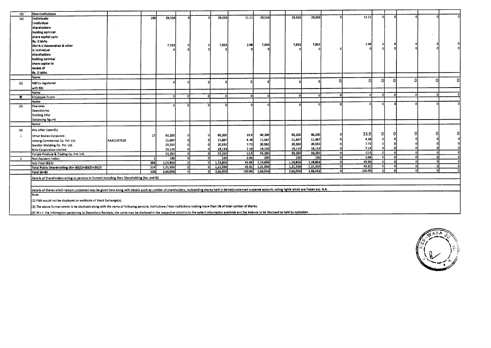| (3)       | Non-Institutions                                                                                                                                                                                                     |            |                  |          |          |          |        |          |          |          |          |          |          |              |   |   |    |
|-----------|----------------------------------------------------------------------------------------------------------------------------------------------------------------------------------------------------------------------|------------|------------------|----------|----------|----------|--------|----------|----------|----------|----------|----------|----------|--------------|---|---|----|
| (a)       | individuals-                                                                                                                                                                                                         |            | 188              | 29,556   |          | 29,556   | 11.11  | 29,556   | 29,556   | 29,556   |          | 11.11    |          |              |   |   |    |
|           | İi.Individual                                                                                                                                                                                                        |            |                  |          |          |          |        |          |          |          |          |          |          |              |   |   |    |
|           | shareholders                                                                                                                                                                                                         |            |                  |          |          |          |        |          |          |          |          |          |          |              |   |   |    |
|           | holding nominal                                                                                                                                                                                                      |            |                  |          |          |          |        |          |          |          |          |          |          |              |   |   |    |
|           |                                                                                                                                                                                                                      |            |                  |          |          |          |        |          |          |          |          |          |          |              |   |   |    |
|           | share capital upto                                                                                                                                                                                                   |            |                  |          |          |          |        |          |          |          |          |          |          |              |   |   |    |
|           | Rs. 2 lakhs.                                                                                                                                                                                                         |            |                  | 7,933    |          | 7,933    | 2.98   | 7,933    | 7,933    | 7,933    |          | 2.98     |          |              |   |   |    |
|           | Shri R.V.Raveendran & other                                                                                                                                                                                          |            |                  |          |          |          |        |          |          |          |          |          |          |              |   |   |    |
|           | ii. Individual                                                                                                                                                                                                       |            |                  |          |          |          |        |          |          |          |          |          |          |              |   |   |    |
|           | shareholders                                                                                                                                                                                                         |            |                  |          |          |          |        |          |          |          |          |          |          |              |   |   |    |
|           | holding nominal                                                                                                                                                                                                      |            |                  |          |          |          |        |          |          |          |          |          |          |              |   |   |    |
|           | share capital in                                                                                                                                                                                                     |            |                  |          |          |          |        |          |          |          |          |          |          |              |   |   |    |
|           | excess of                                                                                                                                                                                                            |            |                  |          |          |          |        |          |          |          |          |          |          |              |   |   |    |
|           | Rs. 2 lakhs.                                                                                                                                                                                                         |            |                  |          |          |          |        |          |          |          |          |          |          |              |   |   |    |
|           | Name:                                                                                                                                                                                                                |            |                  |          |          |          |        |          |          |          | $\Omega$ | -01      | $\Omega$ | n            | O | n | ΩI |
| (b)       | <b>NBFCs registered</b>                                                                                                                                                                                              |            |                  |          |          |          |        |          |          |          |          |          |          |              |   |   |    |
|           | with RBI                                                                                                                                                                                                             |            |                  |          |          |          |        |          |          |          |          |          |          |              |   |   |    |
|           | Name:                                                                                                                                                                                                                |            |                  |          |          |          |        |          |          |          | n        | $\Omega$ |          | n            |   |   |    |
| $\bullet$ | Employee Trusts                                                                                                                                                                                                      |            |                  |          | οl       |          |        |          |          |          |          |          |          |              |   |   |    |
|           | Name:                                                                                                                                                                                                                |            |                  |          |          |          |        |          |          |          |          |          |          |              |   |   |    |
| (d)       | Overseas                                                                                                                                                                                                             |            |                  |          | n        |          |        |          |          |          |          |          |          |              |   |   |    |
|           | Depositories                                                                                                                                                                                                         |            |                  |          |          |          |        |          |          |          |          |          |          |              |   |   |    |
|           | (holding DRs)                                                                                                                                                                                                        |            |                  |          |          |          |        |          |          |          |          |          |          |              |   |   |    |
|           | (balancing figure)                                                                                                                                                                                                   |            |                  |          |          |          |        |          |          |          |          |          |          |              |   |   |    |
|           | Name:                                                                                                                                                                                                                |            |                  |          |          |          |        |          |          |          |          |          |          |              |   |   |    |
| (e)       | Any other (specify)                                                                                                                                                                                                  |            |                  |          |          |          |        |          |          |          |          |          |          |              |   |   |    |
|           | Other Bodies Corporate                                                                                                                                                                                               |            | 17               | 90,200   |          | 90,200   | 33.9   | 90,200   | 90,200   | 90,200   |          | 33.9     | Ω        |              |   |   |    |
|           | Umang Commercial Co. Pvt. Ltd.                                                                                                                                                                                       | AAACU3731B |                  | 11,667   |          | 11,667   | 4.38   | 11,667   | 11,667   | 11,667   |          | 4.38     |          |              |   |   |    |
|           |                                                                                                                                                                                                                      |            |                  | 20,550   |          | 20,550   | 7.73   | 20,550   | 20,550   | 20,550   |          | 7.73     |          |              |   |   |    |
|           | Gwalior Webbing Co. Pvt. Ltd.                                                                                                                                                                                        |            |                  | 19,133   |          | 19,133   | 7.19   | 19.133   | 19,133   | 19,133   |          | 7.19     |          |              |   |   |    |
|           | Biria Corporation Limited                                                                                                                                                                                            |            |                  | 33,250   |          | 33,250   | 12.5   | 33,250   | 33,250   | 33,250   | D.       | 12.5     | -0       | $\Omega$     |   |   |    |
|           | Punjab Produce & Trading Co. Pvt. Ltd.                                                                                                                                                                               |            |                  | 100      | $\alpha$ | 100      | 0.04   | 100      | 100      | 100      | -C       | 0.04     |          |              |   |   |    |
| -ii       | Non Resident Indian<br>Sub-Total (B)(3)                                                                                                                                                                              |            | 206              | 1,19,856 | -ni      | 1,19,856 | 45.04  | 1,19,856 | 1,19,856 | 1,19,856 |          | 45.04    |          |              |   |   |    |
|           | Total Public Shareholding (B)= (B)(1)+(B)(2)+(B)(3)                                                                                                                                                                  |            | 214              | 1,21,356 | n        | 1,21,356 | 45.61  | 1,21,356 | 1,21,356 | 1,21,356 | $\Omega$ | 45.61    |          |              |   |   |    |
|           | Total (A+B)                                                                                                                                                                                                          |            | $\overline{226}$ | 2,66,056 |          | 2,66,056 | 100.00 | 2,66,056 | 2,66,056 | 2,66,056 | $\Omega$ | 100.00   |          | $\mathbf{a}$ |   |   |    |
|           |                                                                                                                                                                                                                      |            |                  |          |          |          |        |          |          |          |          |          |          |              |   |   |    |
|           | Details of Sharehoiders acting as persons in Concert including their Shareholding (No. and %)                                                                                                                        |            |                  |          |          |          |        |          |          |          |          |          |          |              |   |   |    |
|           |                                                                                                                                                                                                                      |            |                  |          |          |          |        |          |          |          |          |          |          |              |   |   |    |
|           | Details of Shares which remain unclaimed may be given here along with details suich as unmber of shareholders, outstanding shares held in demat/unclaimed suspense account, voting rights which are frozen etc. N.A. |            |                  |          |          |          |        |          |          |          |          |          |          |              |   |   |    |
|           | Note:                                                                                                                                                                                                                |            |                  |          |          |          |        |          |          |          |          |          |          |              |   |   |    |
|           | (1) PAN would not be displayed on webhsite of Stock Exchange(s).                                                                                                                                                     |            |                  |          |          |          |        |          |          |          |          |          |          |              |   |   |    |
|           | (2) The above format needs to be disclosed along with the name of following persons; institutions / Non Institutions holding more than 1% of total number of shares.                                                 |            |                  |          |          |          |        |          |          |          |          |          |          |              |   |   |    |
|           | ((3) W.r.t. the information pertaining to Depository Receipts, the same may be disclosed in the respective columns to the extent information available and the balance to be disclosed as held by custodian.         |            |                  |          |          |          |        |          |          |          |          |          |          |              |   |   |    |
|           |                                                                                                                                                                                                                      |            |                  |          |          |          |        |          |          |          |          |          |          |              |   |   |    |